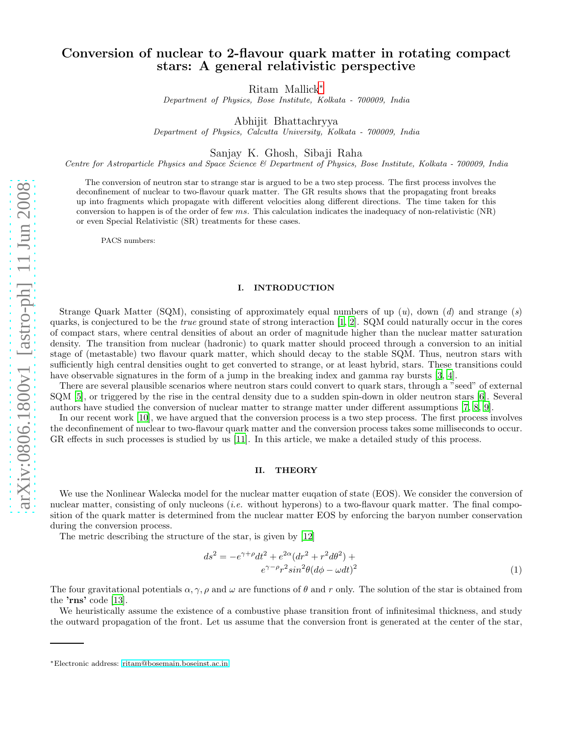## Conversion of nuclear to 2-flavour quark matter in rotating compact stars: A general relativistic perspective

Ritam Mallick[∗](#page-0-0)

Department of Physics, Bose Institute, Kolkata - 700009, India

Abhijit Bhattachryya

Department of Physics, Calcutta University, Kolkata - 700009, India

Sanjay K. Ghosh, Sibaji Raha

Centre for Astroparticle Physics and Space Science & Department of Physics, Bose Institute, Kolkata - 700009, India

The conversion of neutron star to strange star is argued to be a two step process. The first process involves the deconfinement of nuclear to two-flavour quark matter. The GR results shows that the propagating front breaks up into fragments which propagate with different velocities along different directions. The time taken for this conversion to happen is of the order of few  $ms$ . This calculation indicates the inadequacy of non-relativistic  $(NR)$ or even Special Relativistic (SR) treatments for these cases.

PACS numbers:

## I. INTRODUCTION

Strange Quark Matter (SQM), consisting of approximately equal numbers of up  $(u)$ , down  $(d)$  and strange  $(s)$ quarks, is conjectured to be the *true* ground state of strong interaction  $[1, 2]$  $[1, 2]$  $[1, 2]$ . SQM could naturally occur in the cores of compact stars, where central densities of about an order of magnitude higher than the nuclear matter saturation density. The transition from nuclear (hadronic) to quark matter should proceed through a conversion to an initial stage of (metastable) two flavour quark matter, which should decay to the stable SQM. Thus, neutron stars with sufficiently high central densities ought to get converted to strange, or at least hybrid, stars. These transitions could have observable signatures in the form of a jump in the breaking index and gamma ray bursts [\[3,](#page-3-2) [4\]](#page-3-3).

There are several plausible scenarios where neutron stars could convert to quark stars, through a "seed" of external SQM [\[5](#page-3-4)], or triggered by the rise in the central density due to a sudden spin-down in older neutron stars [\[6](#page-3-5)]. Several authors have studied the conversion of nuclear matter to strange matter under different assumptions [\[7,](#page-3-6) [8](#page-3-7), [9](#page-3-8)].

In our recent work [\[10\]](#page-3-9), we have argued that the conversion process is a two step process. The first process involves the deconfinement of nuclear to two-flavour quark matter and the conversion process takes some milliseconds to occur. GR effects in such processes is studied by us [\[11](#page-3-10)]. In this article, we make a detailed study of this process.

## II. THEORY

We use the Nonlinear Walecka model for the nuclear matter euqation of state (EOS). We consider the conversion of nuclear matter, consisting of only nucleons *(i.e.* without hyperons) to a two-flavour quark matter. The final composition of the quark matter is determined from the nuclear matter EOS by enforcing the baryon number conservation during the conversion process.

The metric describing the structure of the star, is given by [\[12](#page-3-11)]

$$
ds^{2} = -e^{\gamma + \rho}dt^{2} + e^{2\alpha}(dr^{2} + r^{2}d\theta^{2}) +
$$
  
\n
$$
e^{\gamma - \rho}r^{2}sin^{2}\theta(d\phi - \omega dt)^{2}
$$
\n(1)

The four gravitational potentials  $\alpha$ ,  $\gamma$ ,  $\rho$  and  $\omega$  are functions of  $\theta$  and r only. The solution of the star is obtained from the 'rns' code [\[13](#page-3-12)].

We heuristically assume the existence of a combustive phase transition front of infinitesimal thickness, and study the outward propagation of the front. Let us assume that the conversion front is generated at the center of the star,

<span id="page-0-0"></span><sup>∗</sup>Electronic address: [ritam@bosemain.boseinst.ac.in](mailto:ritam@bosemain.boseinst.ac.in)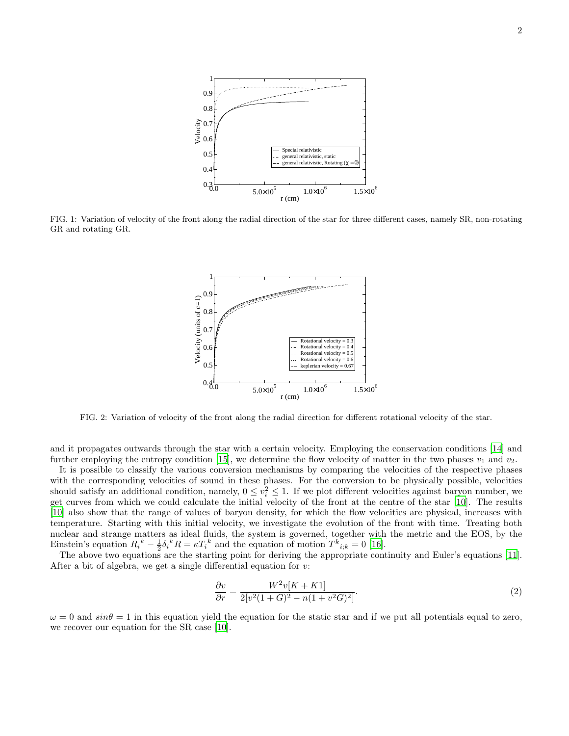

FIG. 1: Variation of velocity of the front along the radial direction of the star for three different cases, namely SR, non-rotating GR and rotating GR.



FIG. 2: Variation of velocity of the front along the radial direction for different rotational velocity of the star.

and it propagates outwards through the star with a certain velocity. Employing the conservation conditions [\[14\]](#page-3-13) and further employing the entropy condition [\[15](#page-3-14)], we determine the flow velocity of matter in the two phases  $v_1$  and  $v_2$ .

It is possible to classify the various conversion mechanisms by comparing the velocities of the respective phases with the corresponding velocities of sound in these phases. For the conversion to be physically possible, velocities should satisfy an additional condition, namely,  $0 \le v_i^2 \le 1$ . If we plot different velocities against baryon number, we get curves from which we could calculate the initial velocity of the front at the centre of the star [\[10](#page-3-9)]. The results [\[10\]](#page-3-9) also show that the range of values of baryon density, for which the flow velocities are physical, increases with temperature. Starting with this initial velocity, we investigate the evolution of the front with time. Treating both nuclear and strange matters as ideal fluids, the system is governed, together with the metric and the EOS, by the Einstein's equation  $R_i^k - \frac{1}{2} \delta_i^k R = \kappa T_i^k$  and the equation of motion  $T^k{}_{i,k} = 0$  [\[16](#page-3-15)].

The above two equations are the starting point for deriving the appropriate continuity and Euler's equations [\[11\]](#page-3-10). After a bit of algebra, we get a single differential equation for  $v$ :

$$
\frac{\partial v}{\partial r} = \frac{W^2 v[K + K1]}{2[v^2(1+G)^2 - n(1+v^2G)^2]}.
$$
\n(2)

 $\omega = 0$  and  $sin\theta = 1$  in this equation yield the equation for the static star and if we put all potentials equal to zero, we recover our equation for the SR case [\[10\]](#page-3-9).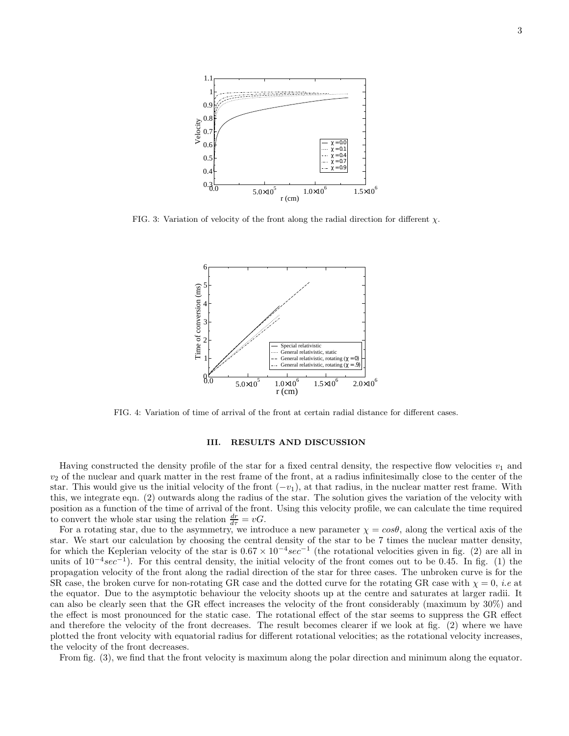

FIG. 3: Variation of velocity of the front along the radial direction for different  $\chi$ .



FIG. 4: Variation of time of arrival of the front at certain radial distance for different cases.

## III. RESULTS AND DISCUSSION

Having constructed the density profile of the star for a fixed central density, the respective flow velocities  $v_1$  and  $v<sub>2</sub>$  of the nuclear and quark matter in the rest frame of the front, at a radius infinitesimally close to the center of the star. This would give us the initial velocity of the front  $(-v_1)$ , at that radius, in the nuclear matter rest frame. With this, we integrate eqn. (2) outwards along the radius of the star. The solution gives the variation of the velocity with position as a function of the time of arrival of the front. Using this velocity profile, we can calculate the time required to convert the whole star using the relation  $\frac{dr}{d\tau} = vG$ .

For a rotating star, due to the asymmetry, we introduce a new parameter  $\chi = cos\theta$ , along the vertical axis of the star. We start our calculation by choosing the central density of the star to be 7 times the nuclear matter density, for which the Keplerian velocity of the star is  $0.67 \times 10^{-4} sec^{-1}$  (the rotational velocities given in fig. (2) are all in units of  $10^{-4}sec^{-1}$ ). For this central density, the initial velocity of the front comes out to be 0.45. In fig. (1) the propagation velocity of the front along the radial direction of the star for three cases. The unbroken curve is for the SR case, the broken curve for non-rotating GR case and the dotted curve for the rotating GR case with  $\chi = 0$ , *i.e* at the equator. Due to the asymptotic behaviour the velocity shoots up at the centre and saturates at larger radii. It can also be clearly seen that the GR effect increases the velocity of the front considerably (maximum by 30%) and the effect is most pronounced for the static case. The rotational effect of the star seems to suppress the GR effect and therefore the velocity of the front decreases. The result becomes clearer if we look at fig. (2) where we have plotted the front velocity with equatorial radius for different rotational velocities; as the rotational velocity increases, the velocity of the front decreases.

From fig. (3), we find that the front velocity is maximum along the polar direction and minimum along the equator.